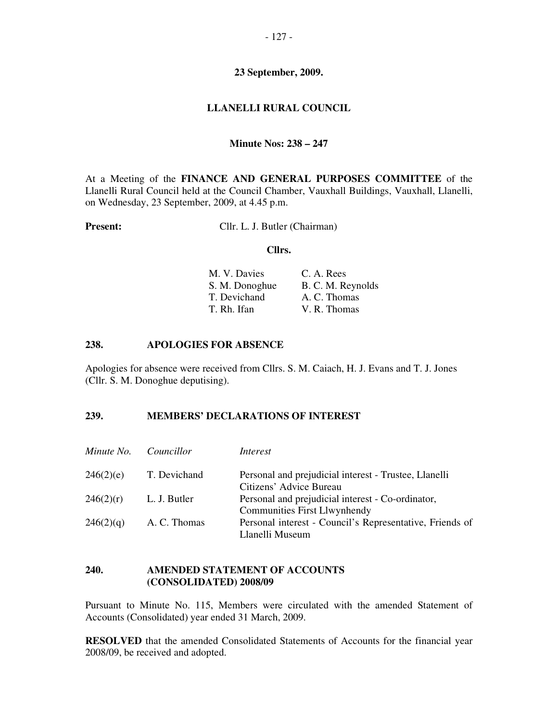## **LLANELLI RURAL COUNCIL**

#### **Minute Nos: 238 – 247**

At a Meeting of the **FINANCE AND GENERAL PURPOSES COMMITTEE** of the Llanelli Rural Council held at the Council Chamber, Vauxhall Buildings, Vauxhall, Llanelli, on Wednesday, 23 September, 2009, at 4.45 p.m.

**Present:** Cllr. L. J. Butler (Chairman)

#### **Cllrs.**

| M. V. Davies   | C. A. Rees        |
|----------------|-------------------|
| S. M. Donoghue | B. C. M. Reynolds |
| T. Devichand   | A. C. Thomas      |
| T. Rh. Ifan    | V. R. Thomas      |

#### **238. APOLOGIES FOR ABSENCE**

Apologies for absence were received from Cllrs. S. M. Caiach, H. J. Evans and T. J. Jones (Cllr. S. M. Donoghue deputising).

#### **239. MEMBERS' DECLARATIONS OF INTEREST**

| Minute No. | <i>Councillor</i> | Interest                                                 |
|------------|-------------------|----------------------------------------------------------|
| 246(2)(e)  | T. Devichand      | Personal and prejudicial interest - Trustee, Llanelli    |
|            |                   | Citizens' Advice Bureau                                  |
| 246(2)(r)  | L. J. Butler      | Personal and prejudicial interest - Co-ordinator,        |
|            |                   | <b>Communities First Llwynhendy</b>                      |
| 246(2)(q)  | A. C. Thomas      | Personal interest - Council's Representative, Friends of |
|            |                   | Llanelli Museum                                          |

## **240. AMENDED STATEMENT OF ACCOUNTS (CONSOLIDATED) 2008/09**

Pursuant to Minute No. 115, Members were circulated with the amended Statement of Accounts (Consolidated) year ended 31 March, 2009.

**RESOLVED** that the amended Consolidated Statements of Accounts for the financial year 2008/09, be received and adopted.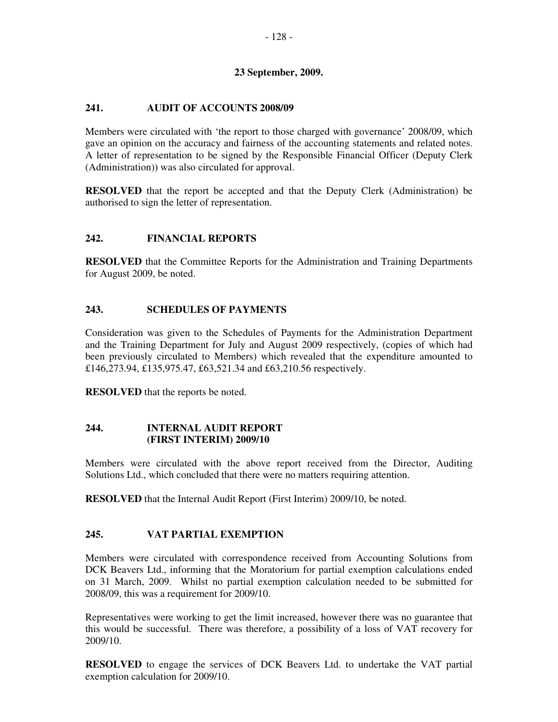# **241. AUDIT OF ACCOUNTS 2008/09**

Members were circulated with 'the report to those charged with governance' 2008/09, which gave an opinion on the accuracy and fairness of the accounting statements and related notes. A letter of representation to be signed by the Responsible Financial Officer (Deputy Clerk (Administration)) was also circulated for approval.

**RESOLVED** that the report be accepted and that the Deputy Clerk (Administration) be authorised to sign the letter of representation.

# **242. FINANCIAL REPORTS**

**RESOLVED** that the Committee Reports for the Administration and Training Departments for August 2009, be noted.

## **243. SCHEDULES OF PAYMENTS**

Consideration was given to the Schedules of Payments for the Administration Department and the Training Department for July and August 2009 respectively, (copies of which had been previously circulated to Members) which revealed that the expenditure amounted to £146,273.94, £135,975.47, £63,521.34 and £63,210.56 respectively.

**RESOLVED** that the reports be noted.

## **244. INTERNAL AUDIT REPORT (FIRST INTERIM) 2009/10**

Members were circulated with the above report received from the Director, Auditing Solutions Ltd., which concluded that there were no matters requiring attention.

**RESOLVED** that the Internal Audit Report (First Interim) 2009/10, be noted.

## **245. VAT PARTIAL EXEMPTION**

Members were circulated with correspondence received from Accounting Solutions from DCK Beavers Ltd., informing that the Moratorium for partial exemption calculations ended on 31 March, 2009. Whilst no partial exemption calculation needed to be submitted for 2008/09, this was a requirement for 2009/10.

Representatives were working to get the limit increased, however there was no guarantee that this would be successful. There was therefore, a possibility of a loss of VAT recovery for 2009/10.

**RESOLVED** to engage the services of DCK Beavers Ltd. to undertake the VAT partial exemption calculation for 2009/10.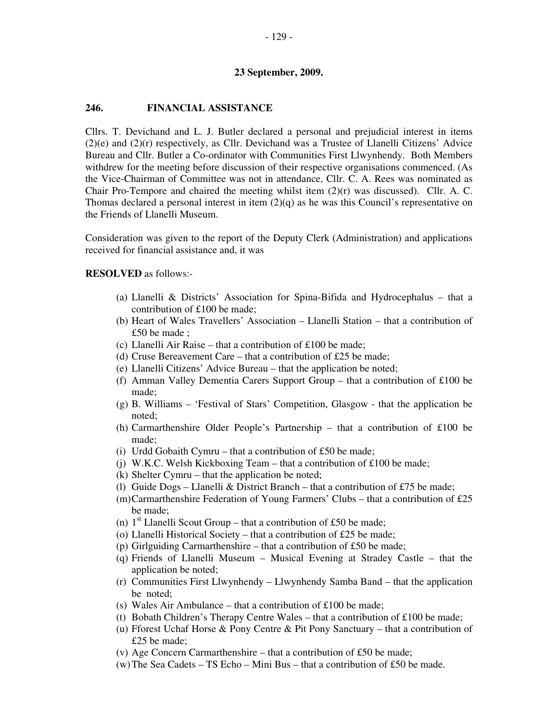#### **246. FINANCIAL ASSISTANCE**

Cllrs. T. Devichand and L. J. Butler declared a personal and prejudicial interest in items (2)(e) and (2)(r) respectively, as Cllr. Devichand was a Trustee of Llanelli Citizens' Advice Bureau and Cllr. Butler a Co-ordinator with Communities First Llwynhendy. Both Members withdrew for the meeting before discussion of their respective organisations commenced. (As the Vice-Chairman of Committee was not in attendance, Cllr. C. A. Rees was nominated as Chair Pro-Tempore and chaired the meeting whilst item (2)(r) was discussed). Cllr. A. C. Thomas declared a personal interest in item  $(2)(q)$  as he was this Council's representative on the Friends of Llanelli Museum.

Consideration was given to the report of the Deputy Clerk (Administration) and applications received for financial assistance and, it was

**RESOLVED** as follows:-

- (a) Llanelli & Districts' Association for Spina-Bifida and Hydrocephalus that a contribution of £100 be made;
- (b) Heart of Wales Travellers' Association Llanelli Station that a contribution of £50 be made ;
- (c) Llanelli Air Raise that a contribution of £100 be made;
- (d) Cruse Bereavement Care that a contribution of £25 be made;
- (e) Llanelli Citizens' Advice Bureau that the application be noted;
- (f) Amman Valley Dementia Carers Support Group that a contribution of £100 be made;
- (g) B. Williams 'Festival of Stars' Competition, Glasgow that the application be noted;
- (h) Carmarthenshire Older People's Partnership that a contribution of £100 be made;
- (i) Urdd Gobaith Cymru that a contribution of  $£50$  be made;
- (i) W.K.C. Welsh Kickboxing Team that a contribution of £100 be made;
- (k) Shelter Cymru that the application be noted;
- (l) Guide Dogs Llanelli & District Branch that a contribution of £75 be made;
- (m)Carmarthenshire Federation of Young Farmers' Clubs that a contribution of £25 be made;
- (n)  $1<sup>st</sup>$  Llanelli Scout Group that a contribution of £50 be made;
- (o) Llanelli Historical Society that a contribution of £25 be made;
- (p) Girlguiding Carmarthenshire that a contribution of £50 be made;
- (q) Friends of Llanelli Museum Musical Evening at Stradey Castle that the application be noted;
- (r) Communities First Llwynhendy Llwynhendy Samba Band that the application be noted;
- (s) Wales Air Ambulance that a contribution of  $£100$  be made;
- (t) Bobath Children's Therapy Centre Wales that a contribution of £100 be made;
- (u) Fforest Uchaf Horse & Pony Centre & Pit Pony Sanctuary that a contribution of £25 be made;
- (v) Age Concern Carmarthenshire that a contribution of £50 be made;
- (w) The Sea Cadets TS Echo Mini Bus that a contribution of £50 be made.